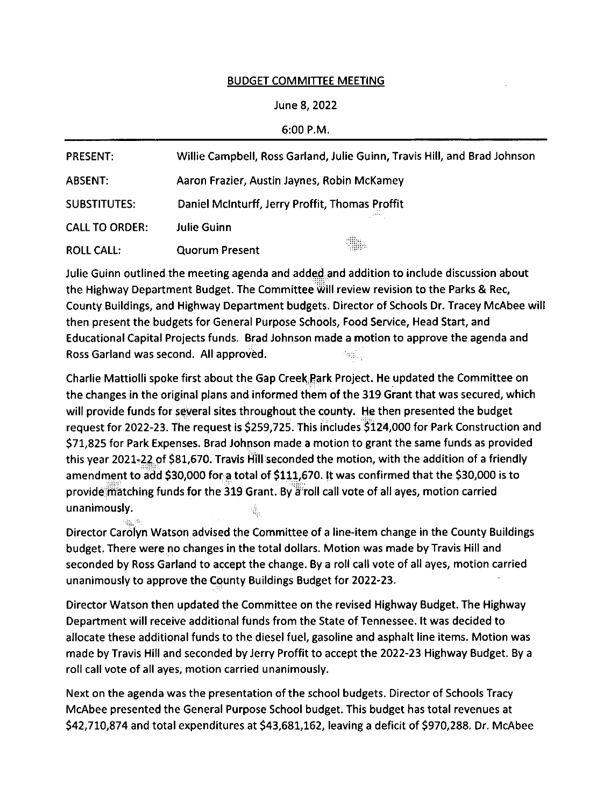## BUDGET COMMITTEE MEETING

## June 8,2Q22

## 6:00 P.M.

| <b>PRESENT:</b>       | Willie Campbell, Ross Garland, Julie Guinn, Travis Hill, and Brad Johnson |
|-----------------------|---------------------------------------------------------------------------|
| <b>ABSENT:</b>        | Aaron Frazier, Austin Jaynes, Robin McKamey                               |
| <b>SUBSTITUTES:</b>   | Daniel McInturff, Jerry Proffit, Thomas Proffit                           |
| <b>CALL TO ORDER:</b> | <b>Julie Guinn</b>                                                        |
| <b>ROLL CALL:</b>     | 3.<br><b>Quorum Present</b>                                               |

Julie Guinn outlined the meeting agenda and added and addition to include discussion about the Highway Department Budget. The Committee will review revision to the Parks & Rec, County Buildings, and Highway Department budgets. Director of Schools Dr. Tracey McAbee will then present the budgets for General Purpose Schools, Food Service, Head Start, and Educational Capital Projects funds. Brad Johnson made a motion to approve the agenda and Ross Garland was second. All approved.

charlie Mattiolli spoke first about the Gap Creek Park Project. He updated the Committee on the changes in the original plans and informed them of the 319 Grant that was secured, which will provide funds for several sites throughout the county. He then presented the budget request for 2022-23.The request is 5259,725. This includes S124,000 for Park Construction and 57L,825 for Park Expenses. Brad Johnson made a motion to grant the same funds as provided this year 2021.-22 of 581,670. Travis Hill seconded the motion, with the addition of a friendly amendment to add 530,000 for a total of \$111,670. lt was confirmed that the 530,000 is to provide matching funds for the 319 Grant. By a roll call vote of all ayes, motion carried unanimously.

Director Carolyn Watson advised the Committee of a line-item change in the County Buildings budget. There were no changes in the total dollars. Motion was made by Travis Hill and seconded by Ross Garland to accept the change. By a roll call vote of all ayes, motion carried unanimously to approve the County Buildings Budget for 2022-23.

Director Watson then updated the Committee on the revised Highway Budget. The Highway Department will receive additional funds from the State of Tennessee. lt was decided to allocate these additional funds to the diesel fuel, gasoline and asphalt line items. Motion was made by Travis Hill and seconded by Jerry Proffit to accept the 2022-23 Highway Budget. By a roll call vote of all ayes, motion carried unanimously.

Next on the agenda was the presentation of the school budgets. Director of Schools Tracy McAbee presented the General Purpose School budget. This budget has total revenues at \$42,710,874 and total expenditures at \$43,681,162, leaving a deficit of \$970,288. Dr. McAbee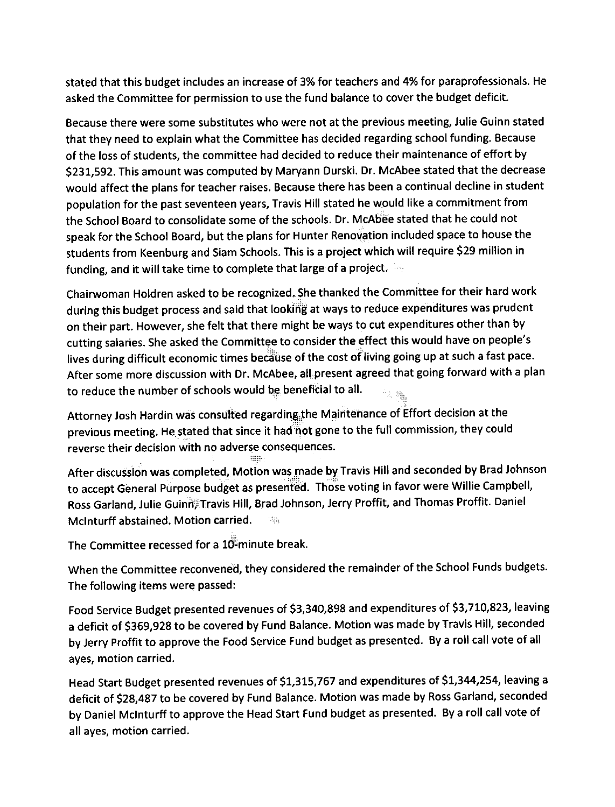stated that this budget includes an increase of 3% for teachers and 4% for paraprofessionals. He asked the Committee for permission to use the fund balance to cover the budget deficit.

Because there were some substitutes who were not at the previous meeting, Julie Guinn stated that they need to explain what the Committee has decided regarding school funding. Because of the loss of students, the committee had decided to reduce their maintenance of effort by S231,592. This amount was computed by Maryann Durski. Dr. McAbee stated that the decrease would affect the plans for teacher raises. Because there has been a continual decline in student population for the past seventeen years, Travis Hill stated he would like a commitment from the School Board to consolidate some of the schools. Dr. McAbee stated that he could not speak for the School Board, but the plans for Hunter Renovation included space to house the students from Keenburg and Siam Schools. This is a project which will require S29 million in funding, and it will take time to complete that large of a project.

Chairwoman Holdren asked to be recognized. She thanked the Committee for their hard work during this budget process and said that looking at ways to reduce expenditures was prudent on their part. However, she felt that there might be ways to cut expenditures other than by cutting salaries. She asked the Committee to consider the effect this would have on people's lives during difficult economic times because of the cost of living going up at such a fast pace. After some more discussion with Dr. McAbee, all present agreed that going forward with a plan to reduce the number of schools would be beneficial to all. 2. 确正

Attorney Josh Hardin was consulted regarding the Maintenance of Effort decision at the previous meeting. He stated that since it had not gone to the full commission, they could reverse their decision with no adverse consequences.

After discussion was completed, Motion was made by Travis Hill and seconded by Brad Johnson to accept General Purpose budget as presented. Those voting in favor were Willie Campbell, Ross Garland, Julie Guinn, Travis Hill, Brad Johnson, Jerry Proffit, and Thomas Proffit. Daniel Mclnturff abstained. Motion carried.

The Committee recessed for a 10-minute break.

When the Committee reconvened, they considered the remainder of the School Funds budgets. The following items were passed:

Food Service Budget presented revenues of 53,340,898 and expenditures of S3,710,823, leaving a deficit of \$369,928 to be covered by Fund Balance. Motion was made by Travis Hill, seconded by Jerry proffit to approve the Food Service Fund budget as presented. By a roll call vote of all ayes, motion carried.

Head Start Budget presented revenues of \$1,315,767 and expenditures of \$1,344,254, leaving a deficit of \$28,487 to be covered by Fund Balance. Motion was made by Ross Garland, seconded by Daniel McInturff to approve the Head Start Fund budget as presented. By a roll call vote of all ayes, motion carried.